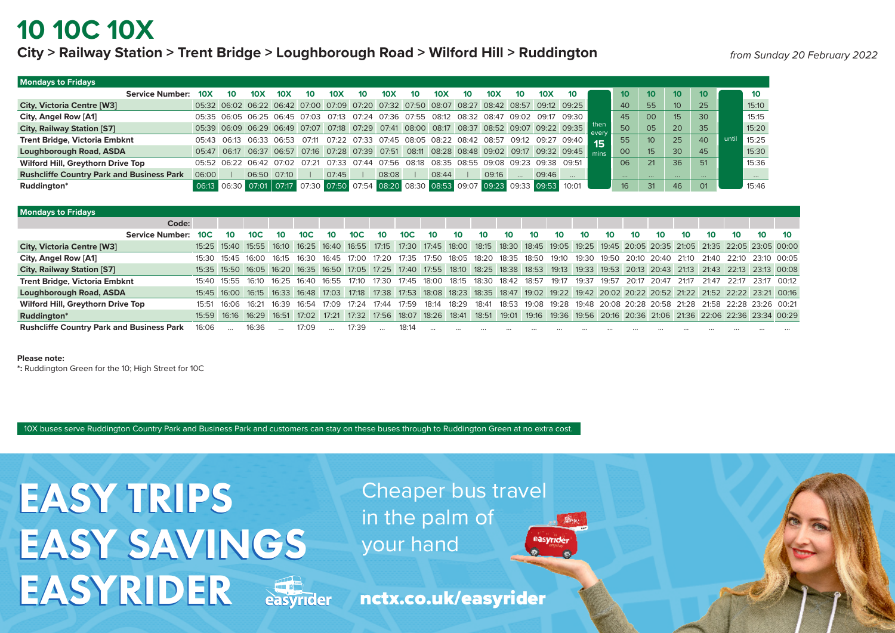## **10 10C 10X**

### **City > Railway Station > Trent Bridge > Loughborough Road > Wilford Hill > Ruddington**

| <b>Mondays to Fridays</b>                        |                        |             |    |                 |                                                                                           |       |       |       |                 |       |                 |       |                                           |                   |                 |                                                                                                |               |                 |                  |                 |          |       |       |
|--------------------------------------------------|------------------------|-------------|----|-----------------|-------------------------------------------------------------------------------------------|-------|-------|-------|-----------------|-------|-----------------|-------|-------------------------------------------|-------------------|-----------------|------------------------------------------------------------------------------------------------|---------------|-----------------|------------------|-----------------|----------|-------|-------|
|                                                  | <b>Service Number:</b> | 10X         | 10 | 10 <sub>X</sub> | 10X                                                                                       | 10    | 10X   | 10    | 10 <sub>X</sub> | 10    | 10 <sub>X</sub> | 10    | 10X                                       | 10                | 10 <sub>X</sub> | 10                                                                                             |               | 10 <sup>1</sup> | 10 <sup>10</sup> | 10 <sup>°</sup> | 10       |       | 10    |
| <b>City, Victoria Centre [W3]</b>                |                        |             |    |                 | 05:32 06:02 06:22 06:42 07:00 07:09 07:20 07:32 07:50                                     |       |       |       |                 |       | 08:07           |       | 08:27 08:42 08:57                         |                   |                 | $09:12$ 09:25                                                                                  |               | 40              | 55               | 10 <sup>1</sup> | 25       |       | 15:10 |
| City, Angel Row [A1]                             |                        |             |    |                 | 05:35 06:05 06:25 06:45 07:03 07:13                                                       |       |       | 07:24 | 07:36 07:55     |       | 08:12           | 08:32 | 08:47                                     | 09:02             |                 | 09:17 09:30                                                                                    |               | 45              | 00               | 15 <sup>1</sup> | 30       |       | 15:15 |
| <b>City, Railway Station [S7]</b>                |                        |             |    |                 |                                                                                           |       |       |       |                 |       |                 |       |                                           |                   |                 | 05:39 06:09 06:29 06:49 07:07 07:18 07:29 07:41 08:00 08:17 08:37 08:52 09:07 09:22 09:35      | then<br>every | 50              | 05               | 20              | 35       |       | 15:20 |
| <b>Trent Bridge, Victoria Embknt</b>             |                        | 05:43 06:13 |    |                 | 06:33 06:53 07:11                                                                         |       |       |       |                 |       |                 |       | 07:22 07:33 07:45 08:05 08:22 08:42 08:57 | 09:12 09:27 09:40 |                 |                                                                                                | 15            | 55              | 10 <sup>°</sup>  | 25              | 40       | until | 15:25 |
| Loughborough Road, ASDA                          |                        |             |    |                 |                                                                                           |       |       |       |                 |       |                 |       |                                           |                   |                 | 05:47 06:17 06:37 06:57 07:16 07:28 07:39 07:51 08:11 08:28 08:48 09:02 09:17 09:32 09:45 mins |               | $00\,$          | 15               | 30              | 45       |       | 15:30 |
| Wilford Hill, Greythorn Drive Top                |                        | 05:52 06:22 |    |                 | 06:42 07:02                                                                               | O7·21 | 07:33 | 07.44 | 07.56           | 08:18 | 08:35           | 08:55 | 09.08                                     | 09.23             | 09:38 09:51     |                                                                                                |               | 06              | 21               | 36              | 51       |       | 15:36 |
| <b>Rushcliffe Country Park and Business Park</b> |                        | 06:00       |    | 06:50           | 07:10                                                                                     |       | 07:45 |       | 08:08           |       | 08:44           |       | 09:16                                     |                   | 09:46           | $\cdots$                                                                                       |               | $\cdots$        | $\cdots$         | $\cdots$        | $\cdots$ |       |       |
| Ruddington*                                      |                        |             |    |                 | 06:13 06:30 07:01 07:17 07:30 07:50 07:54 08:20 08:30 08:53 09:07 09:23 09:33 09:53 10:01 |       |       |       |                 |       |                 |       |                                           |                   |                 |                                                                                                |               | 16 <sup>1</sup> | 31               | 46              | 01       |       | 15:46 |

| <b>Mondays to Fridays</b>                        |                 |             |                                                                                                                                                 |       |                 |                  |                 |       |       |       |       |       |                 |       |             |       |       |       |                                                             |       |       |       |       |       |
|--------------------------------------------------|-----------------|-------------|-------------------------------------------------------------------------------------------------------------------------------------------------|-------|-----------------|------------------|-----------------|-------|-------|-------|-------|-------|-----------------|-------|-------------|-------|-------|-------|-------------------------------------------------------------|-------|-------|-------|-------|-------|
| Code:                                            |                 |             |                                                                                                                                                 |       |                 |                  |                 |       |       |       |       |       |                 |       |             |       |       |       |                                                             |       |       |       |       |       |
| <b>Service Number:</b>                           | 10 <sup>C</sup> | 10          | 10C                                                                                                                                             | 10    | 10 <sup>C</sup> | 10 <sup>10</sup> | 10 <sup>C</sup> | 10    | 10C   | 10    | 10    | 10    | 10 <sup>°</sup> | 10    |             | 10    | 10    | 10    | 10                                                          | 10    | 10.   | 10    | 10    | 10    |
| <b>City, Victoria Centre [W3]</b>                |                 |             | 15:25 15:40 15:55 16:10 16:25 16:40 16:55 17:15 17:30 17:45 18:00 18:15 18:30 18:45 19:05 19:25 19:45 20:05 20:35 21:05 21:35 22:05 23:05 00:00 |       |                 |                  |                 |       |       |       |       |       |                 |       |             |       |       |       |                                                             |       |       |       |       |       |
| City, Angel Row [A1]                             | 15:30           | 15:45       | 16:00                                                                                                                                           | 16:15 | 16:30           | 16:45            | 17:00           | 17:20 | 17:35 | 17:50 | 18:05 | 18:20 | 18:35           | 18:50 | 19:10 19:30 |       |       |       | 19:50  20:10  20:40  21:10  21:40  22:10  23:10  00:05      |       |       |       |       |       |
| <b>City, Railway Station [S7]</b>                |                 |             | 15:35 15:50 16:05 16:20 16:35 16:50 17:05 17:25 17:40 17:55 18:10 18:25 18:38 18:53 19:13 19:33 19:53 20:13 20:43 21:13 21:43 22:13 23:13 00:08 |       |                 |                  |                 |       |       |       |       |       |                 |       |             |       |       |       |                                                             |       |       |       |       |       |
| <b>Trent Bridge, Victoria Embknt</b>             | 15:40           | 15:55       | 16 <sup>-10</sup>                                                                                                                               | 16.25 | 16:40           | 16:55            | 17:10           | 17:30 | 17:45 | 18:00 | 18:15 | 18:30 | 18:42           | 18:57 | 19:17       | 19:37 | 19:57 | 20:17 | 20:47                                                       | 21:17 | 21:47 | 22:17 | 23.17 | 00.12 |
| <b>Loughborough Road, ASDA</b>                   |                 |             | 15:45 16:00 16:15 16:33 16:48 17:03 17:18 17:38 17:53 18:08 18:23 18:35 18:47 19:02 19:22 19:42 20:02 20:22 20:52 21:22 21:52 22:22 23:21 00:16 |       |                 |                  |                 |       |       |       |       |       |                 |       |             |       |       |       |                                                             |       |       |       |       |       |
| Wilford Hill, Greythorn Drive Top                | 15:51           | 16.06       | 16.21                                                                                                                                           | 16.39 | 16.54           | 17.09            | 17.24           | 17.44 | 17.59 | 18:14 | 18:29 | 18:41 | 18:53           | 19:08 | 19:28       |       |       |       | 19:48 20:08 20:28 20:58 21:28 21:58 22:28 23:26 00:21       |       |       |       |       |       |
| Ruddington*                                      |                 | 15:59 16:16 | 16:29                                                                                                                                           | 16:51 | 17:02 17:21     |                  | 17:32 17:56     |       | 18:07 | 18:26 | 18:41 | 18:51 | 19:01           | 19:16 |             |       |       |       | 19:36 19:56 20:16 20:36 21:06 21:36 22:06 22:36 23:34 00:29 |       |       |       |       |       |
| <b>Rushcliffe Country Park and Business Park</b> | 16:06           |             | 16:36                                                                                                                                           |       | 17:09           |                  | 17:39           |       | 18:14 |       |       |       |                 |       |             |       |       |       |                                                             |       |       |       |       |       |

#### **Please note:**

**\*:** Ruddington Green for the 10; High Street for 10C

10X buses serve Ruddington Country Park and Business Park and customers can stay on these buses through to Ruddington Green at no extra cost.

EASY TRIPS EASY TRIPS EASY SAVINGS EASY SAVINGS EASYRIDER EASYRIDER



Cheaper bus travel in the palm of your hand

nctx.co.uk/easyrider

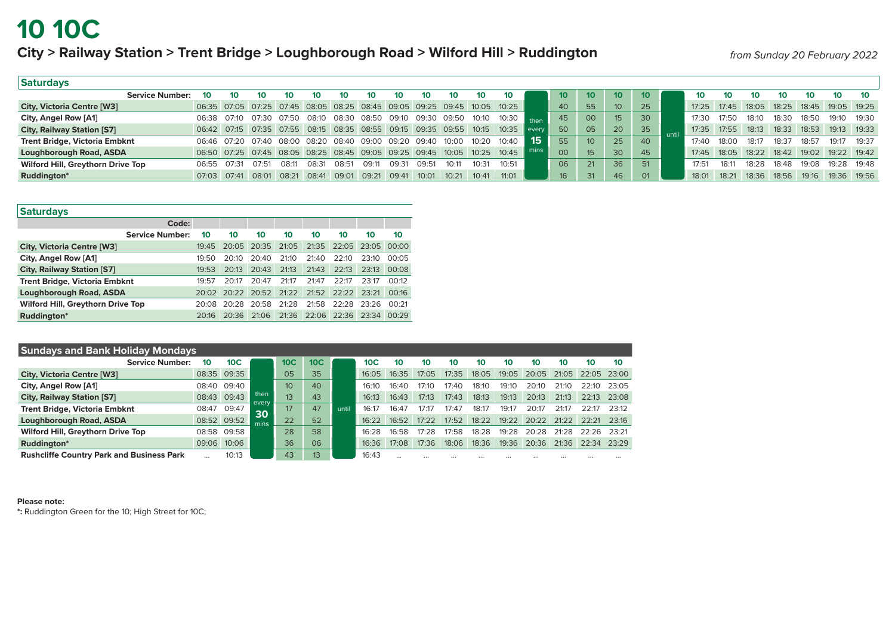### **10 10C**

### **City > Railway Station > Trent Bridge > Loughborough Road > Wilford Hill > Ruddington**

*from Sunday 20 February 2022*

| Saturdays                         |                   |             |       |                                                                         |       |      |                   |       |       |       |                 |                |       |                 |                 |                  |    |       |       |       |              |             |             |       |
|-----------------------------------|-------------------|-------------|-------|-------------------------------------------------------------------------|-------|------|-------------------|-------|-------|-------|-----------------|----------------|-------|-----------------|-----------------|------------------|----|-------|-------|-------|--------------|-------------|-------------|-------|
| <b>Service Number:</b>            | 10                | 10          | 10    | 10                                                                      | 10    | 10   | 10                | 10    | 10    | 10    | 10              | 10             |       | 10 <sup>°</sup> | 10 <sup>°</sup> | $10-10$          |    | 10    | 10    |       | 10           |             | 10.         |       |
| <b>City, Victoria Centre [W3]</b> |                   |             |       | 06:35 07:05 07:25 07:45 08:05 08:25 08:45 09:05 09:25 09:45 10:05 10:25 |       |      |                   |       |       |       |                 |                |       | 40              | 55              | 10 <sup>°</sup>  | 25 | 17:25 | 17:45 | 18:05 |              | 18:25 18:45 | 19:05 19:25 |       |
| City, Angel Row [A1]              | 06:38             | 07:10       | 07:30 | 07:50 08:10 08:30 08:50                                                 |       |      |                   | 09:10 | 09:30 | 09:50 | 10:10           | $-$ 10:30 then |       | 45              | 00              | 15 <sup>15</sup> | 30 | 17.30 | 17.50 | 18:10 | 18:30        | 18:50       | 19.10       | 19.30 |
| <b>City, Railway Station [S7]</b> |                   |             |       | 06:42 07:15 07:35 07:55 08:15 08:35 08:55 09:15 09:35 09:55             |       |      |                   |       |       |       | $10:15$ $10:35$ |                | every | 50              | 05              | 20               | 35 | 17:35 | 17:55 | 18:13 | 18:33        | 18:53       | 19:13       | 19.33 |
| Trent Bridge, Victoria Embknt     |                   | 06:46 07:20 |       | 07:40  08:00  08:20  08:40  09:00  09:20  09:40                         |       |      |                   |       |       | 10:00 | 10:20           | 10.40          | 15    | 55              | 10 <sup>1</sup> | 25               | 40 | 17.40 | 18:00 | 18.17 | 18:37        | 18:57       | 19.17       | 19.37 |
| Loughborough Road, ASDA           |                   |             |       | 06:50 07:25 07:45 08:05 08:25 08:45 09:05 09:25 09:45 10:05             |       |      |                   |       |       |       | $10:25$ $10:45$ |                |       | 00              |                 | 30               | 45 | 17:45 | 18:05 | 18:22 | 18:42  19:02 |             | 19:22 19:42 |       |
| Wilford Hill, Greythorn Drive Top | 06:55             | O7:31       | 07:51 | 08 <sup>.</sup> 11                                                      | 08:31 | 08.5 | ∩9∙11             | 09.31 | 09.51 | 10.11 | 10.31           | 10.51          |       | 06              | 21              | 36               | 51 | 17.51 | 18:11 | 18.28 | 18.48        | 19.08       | 19.28       | 19.48 |
| Ruddington*                       | $07:03$ $07:41$ . |             |       | 08:01 08:21 08:41                                                       |       |      | 09:01 09:21 09:41 |       | 10:01 | 10:21 | 10:41           | 11:01          |       | 16              | 31              | 46               | 01 | 18:01 | 18:21 | 18:36 | 18:56 19:16  |             | 19:36 19:56 |       |

| <b>Saturdays</b>                         |                        |                 |       |                 |       |       |                               |                 |       |
|------------------------------------------|------------------------|-----------------|-------|-----------------|-------|-------|-------------------------------|-----------------|-------|
|                                          | Code:                  |                 |       |                 |       |       |                               |                 |       |
|                                          | <b>Service Number:</b> | 10 <sup>1</sup> | 10    | 10 <sup>°</sup> | 10    | 10    | 10 <sup>1</sup>               | 10 <sup>°</sup> | 10    |
| <b>City, Victoria Centre [W3]</b>        |                        | 19:45           |       | 20:05 20:35     | 21:05 | 21:35 | 22:05                         | 23:05           | 00:00 |
| City, Angel Row [A1]                     |                        | 19.50           | 20:10 | 20:40           | 21:10 | 21:40 | 22:10                         | 23:10           | 00:05 |
| <b>City, Railway Station [S7]</b>        |                        | 19:53           | 20:13 | 20:43           | 21:13 | 21:43 | 22:13                         | 23:13           | 00:08 |
| <b>Trent Bridge, Victoria Embknt</b>     |                        | 19.57           | 20:17 | 20:47           | 21:17 | 21:47 | 22.17                         | 23.17           | 00.12 |
| Loughborough Road, ASDA                  |                        | 20:02           |       |                 |       |       | 20:22 20:52 21:22 21:52 22:22 | 23:21           | 00:16 |
| <b>Wilford Hill, Greythorn Drive Top</b> |                        | 20.08           | 20.28 | 20:58           | 21:28 | 21:58 | 22:28 23:26                   |                 | 00.21 |
| Ruddington*                              |                        | 20:16           | 20:36 | 21:06           | 21:36 |       | 22:06 22:36                   | 23:34           | 00:29 |

| <b>Sundays and Bank Holiday Mondays</b>          |       |                 |               |     |                 |       |       |          |       |       |       |       |       |          |       |       |
|--------------------------------------------------|-------|-----------------|---------------|-----|-----------------|-------|-------|----------|-------|-------|-------|-------|-------|----------|-------|-------|
| <b>Service Number:</b>                           | 10    | 10 <sub>C</sub> |               | 10C | 10 <sup>C</sup> |       | 10C   | 10       | 10    |       | 10    | 10    | 10    | 10       | 10    | 10    |
| <b>City, Victoria Centre [W3]</b>                |       | 08:35 09:35     |               | 05  | 35              |       | 16:05 | 16:35    | 17:05 | 17:35 | 18:05 | 19:05 | 20.05 | 21.05    | 22:05 | 23:00 |
| City, Angel Row [A1]                             | 08:40 | 09:40           |               | 10  | 40              |       | 16.1C | 16.40    | 17:10 | 17·40 | 18:10 | 19:10 | 20:10 | 21:10    | 22:10 | 23.05 |
| <b>City, Railway Station [S7]</b>                |       | 08:43 09:43     | then<br>every | 13  | 43              |       | 16:13 | 16:43    | 17:13 | 17:43 | 18:13 | 19:13 | 20:13 | 21:13    | 22:13 | 23:08 |
| <b>Trent Bridge, Victoria Embknt</b>             | 08:47 | 09:47           | 30            | 17  | 47              | until | 16:17 | 16:47    | 17:17 | 17.47 | 18:17 | 19:17 | 20:1  | 21.17    | 22.17 | 23.12 |
| Loughborough Road, ASDA                          |       | 08:52 09:52     | mins          | 22  | 52              |       | 16.22 | 16:52    | 17.22 | 17:52 | 18:22 | 19:22 | 20:22 | 21.22    | 22.21 | 23.16 |
| Wilford Hill, Greythorn Drive Top                | 08:58 | 09:58           |               | 28  | 58              |       | 16:28 | 16:58    | 17:28 | 17:58 | 18:28 | 19:28 | 20:28 | 21.28    | 22.26 | 23.21 |
| Ruddington*                                      | 09:06 | 10:06           |               | 36  | 06              |       | 16:36 | 17:08    | 17:36 | 18:06 | 18:36 | 19:36 | 20:36 | 21:36    | 22.34 | 23.29 |
| <b>Rushcliffe Country Park and Business Park</b> |       | 10:13           |               | 43  | 13              |       | 16:43 | $\cdots$ |       |       |       |       |       | $\cdots$ |       |       |

#### **Please note:**

**\*:** Ruddington Green for the 10; High Street for 10C;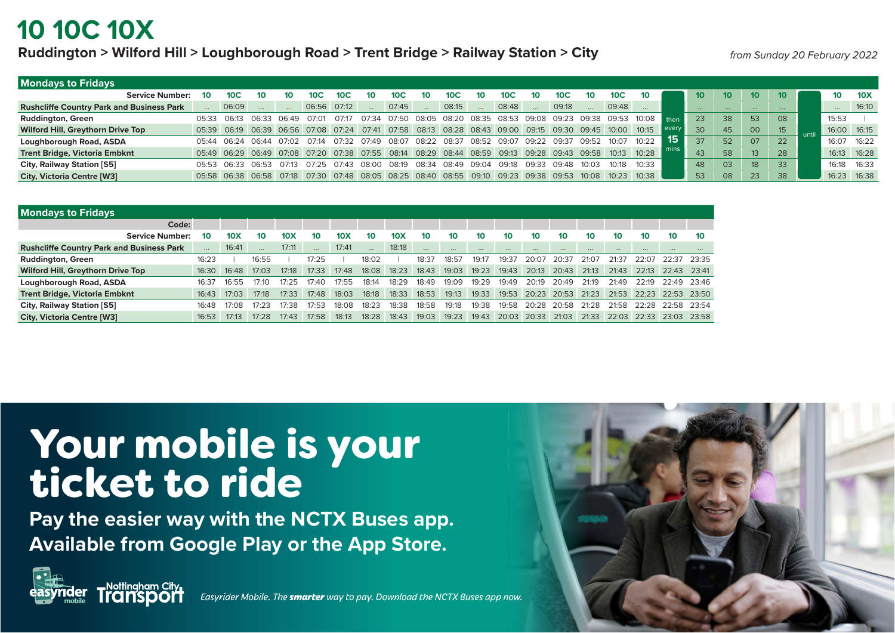## **10 10C 10X**

### **Ruddington > Wilford Hill > Loughborough Road > Trent Bridge > Railway Station > City**

*from Sunday 20 February 2022*

| <b>Mondays to Fridays</b>                        |             |                 |       |       |             |                 |              |                 |    |                                                                                                       |       |                   |       |                 |                 |                 |                                          |                      |         |                 |                 |                 |                 |                 |
|--------------------------------------------------|-------------|-----------------|-------|-------|-------------|-----------------|--------------|-----------------|----|-------------------------------------------------------------------------------------------------------|-------|-------------------|-------|-----------------|-----------------|-----------------|------------------------------------------|----------------------|---------|-----------------|-----------------|-----------------|-----------------|-----------------|
| <b>Service Number:</b>                           | 10          | 10 <sup>C</sup> |       | 10    | 10C         | 10 <sup>C</sup> | 10           | 10 <sup>C</sup> | 10 | 10 <sup>C</sup>                                                                                       | 10    | 10 <sup>C</sup>   | 10    | 10 <sup>C</sup> | 10 <sup>°</sup> | 10 <sup>C</sup> | 10 <sup>°</sup>                          |                      | $10-10$ | 10 <sup>°</sup> | 10 <sup>1</sup> | 10 <sup>°</sup> | 10 <sup>°</sup> | 10 <sub>X</sub> |
| <b>Rushcliffe Country Park and Business Park</b> |             | 06:09           |       |       | 06:56 07:12 |                 |              | 07:45           |    | 08:15                                                                                                 |       | 08:48             |       | 09:18           |                 | 09:48           |                                          |                      |         | $\cdots$        |                 | $\cdots$        |                 | 16:10           |
| <b>Ruddington, Green</b>                         | 05:33       | 06:13           | 06:33 | 06:49 | 07:01       | 07:17           | 07:34        | 07:50           |    | 08:05 08:20 08:35                                                                                     |       |                   |       |                 |                 |                 | 08:53 09:08 09:23 09:38 09:53 10:08 then |                      | 23      | 38              | 53              | 08              | 15:53           |                 |
| <b>Wilford Hill, Greythorn Drive Top</b>         |             |                 |       |       |             |                 |              |                 |    | 05:39 06:19 06:39 06:56 07:08 07:24 07:41 07:58 08:13 08:28 08:43 09:00 09:15 09:30 09:45 10:00       |       |                   |       |                 |                 |                 | 10:15                                    | $\blacksquare$ every | 30      | 45              | 00              | 15              | 16:00  16:15    |                 |
| Loughborough Road, ASDA                          | 05:44       | 06.24           |       |       |             |                 |              |                 |    | 06:44 07:02 07:14 07:32 07:49 08:07 08:22 08:37 08:52 09:07 09:22 09:37                               |       |                   |       |                 | 09.52           | 10.07           | 10.22                                    | ּ כו                 | 37      | 52              | 07              | 22              | 16:07           | 16:22           |
| <b>Trent Bridge, Victoria Embknt</b>             |             |                 |       |       |             |                 |              |                 |    | 05:49 06:29 06:49 07:08 07:20 07:38 07:55 08:14 08:29 08:44 08:59 09:13 09:28 09:43 09:58 10:13 10:28 |       |                   |       |                 |                 |                 |                                          |                      | 43      | 58              | 13              | 28              | 16:13  16:28    |                 |
| City, Railway Station [S5]                       | 05:53 06:33 |                 | 06.53 | O7:13 | 07.25       | 07.43           | <b>08:00</b> | 08.19           |    | 08:34 08:49                                                                                           | 09.04 | 09.18             | 09:33 | 09.48           | 10.03           | 10.18           | 10.33                                    |                      | 48      | 03              | 18 <sup>°</sup> | 33              | 16:18           | 16:33           |
| <b>City, Victoria Centre [W3]</b>                |             |                 |       |       |             |                 |              |                 |    | 05:58 06:38 06:58 07:18 07:30 07:48 08:05 08:25 08:40 08:55 09:10                                     |       | 09:23 09:38 09:53 |       |                 | 10:08 10:23     |                 | 10.38                                    |                      | 53      | 08              | 23              | 38              | 16:23           | 16:38           |

| <b>Mondays to Fridays</b>                        |          |       |       |                 |                 |                 |                 |                 |          |                 |       |       |       |             |       |             |       |                   |       |
|--------------------------------------------------|----------|-------|-------|-----------------|-----------------|-----------------|-----------------|-----------------|----------|-----------------|-------|-------|-------|-------------|-------|-------------|-------|-------------------|-------|
| Code:                                            |          |       |       |                 |                 |                 |                 |                 |          |                 |       |       |       |             |       |             |       |                   |       |
| <b>Service Number:</b>                           | 10       | 10X   | 10    | 10 <sub>X</sub> | 10 <sup>°</sup> | 10 <sub>X</sub> | 10 <sup>°</sup> | 10 <sub>X</sub> | 10       | 10 <sup>°</sup> | 10    | 10    | 10    | 10          | 10    | 10          | 10    | 10 <sup>1</sup>   | 10    |
| <b>Rushcliffe Country Park and Business Park</b> | $\cdots$ | 16:41 |       | 17:11           |                 | 17:41           |                 | 18:18           | $\cdots$ |                 |       |       |       |             |       | $\cdots$    |       |                   |       |
| <b>Ruddington, Green</b>                         | 16:23    |       | 16:55 |                 | 17:25           |                 | 18:02           |                 | 18:37    | 18:57           | 19:17 | 19:37 | 20:07 | 20:37       | 21:07 | 21:37       | 22.07 | 22.37             | 23:35 |
| Wilford Hill, Greythorn Drive Top                | 16:30    | 16:48 | 17:03 | 17:18           | 17:33           | 17:48           | 18:08           | 18:23           | 18:43    | 19:03           | 19:23 | 19:43 |       | 20:13 20:43 | 21:13 | 21:43       | 22:13 | 22:43             | 23.41 |
| Loughborough Road, ASDA                          | 16:37    | 16:55 | 17.1C | 17.25           | 17.40           | 17:55           | 18:14           | 18:29           | 18:49    | 19:09           | 19:29 | 19:49 | 20:19 | 20.49       | 21:19 | 21:49       | 22:19 | 22.49             | 23.46 |
| <b>Trent Bridge, Victoria Embknt</b>             | 16:43    | 17:03 | 17:18 | 17:33           | 17:48           | 18:03           | 18:18           | 18:33           | 18:53    | 19:13           | 19:33 | 19:53 |       | 20:23 20:53 | 21:23 | 21:53       |       | 22:23 22:53 23:50 |       |
| City, Railway Station [S5]                       | 16:48    | 17:08 | 17:23 | 17:38           | 17:53           | 18:08           | 18:23           | 18:38           | 18:58    | 19:18           | 19:38 | 19:58 | 20:28 | 20:58       | 21:28 | 21:58       | 22.28 | 22.58             | 23.54 |
| <b>City, Victoria Centre [W3]</b>                | 16:53    | 17:13 | 17:28 | 17:43           | 17:58           | 18:13           | 18:28           | 18:43           | 19:03    | 19:23           | 19:43 | 20:03 | 20:33 | 21:03       |       | 21:33 22:03 |       | 22:33 23:03       | 23:58 |

# Your mobile is your ticket to ride

**Pay the easier way with the NCTX Buses app. Available from Google Play or the App Store.**



**harple** *Easyrider Mobile*. The *smarter* way to pay. Download the NCTX Buses app now.